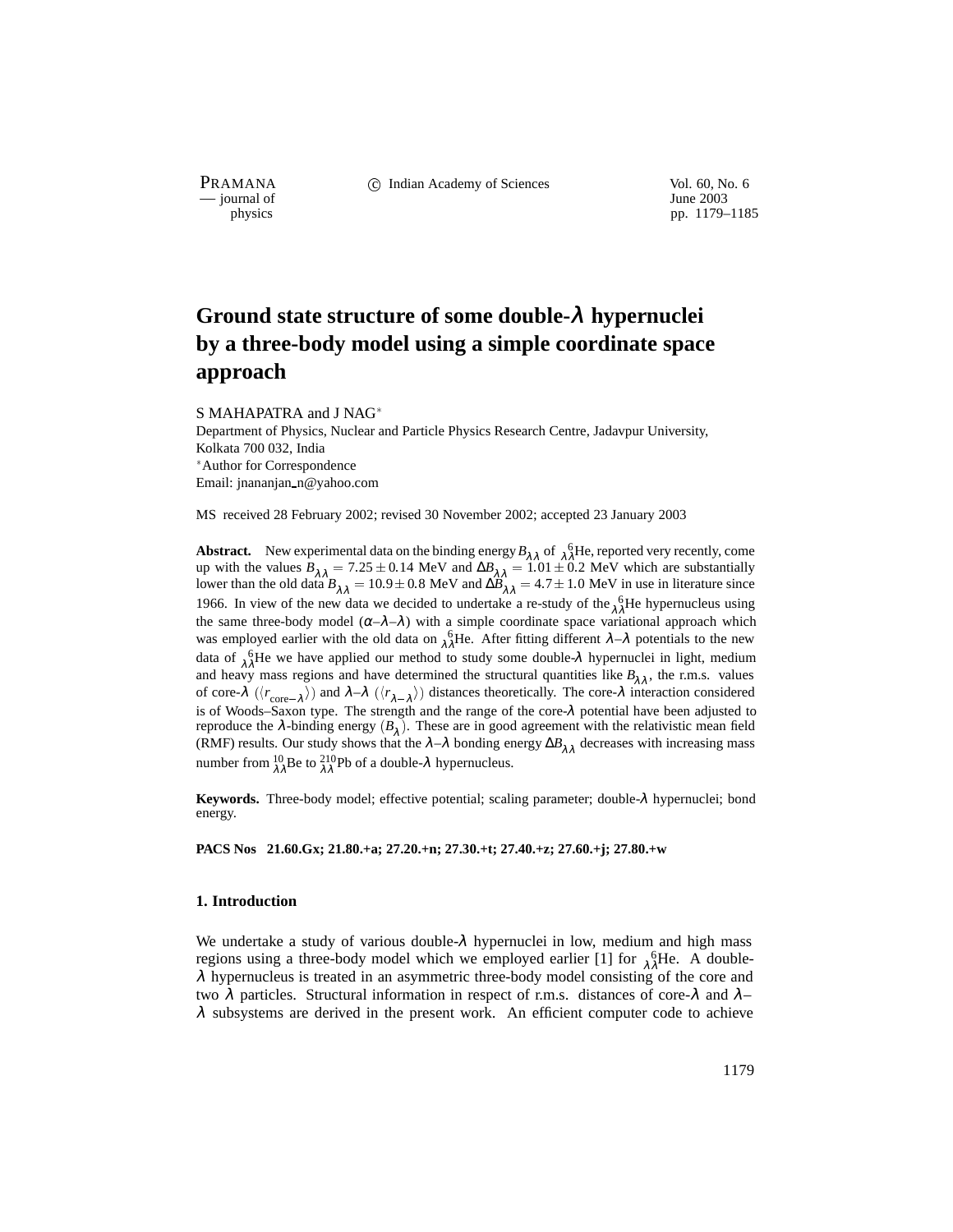— journal of<br>physics

PRAMANA 
<sup>c</sup> Indian Academy of Sciences 
<sup>Vol. 60, No. 6
<sup>1</sup> June 2003</sup>

pp. 1179–1185

# **Ground state structure of some double-**λ **hypernuclei by a three-body model using a simple coordinate space approach**

S MAHAPATRA and J NAG Department of Physics, Nuclear and Particle Physics Research Centre, Jadavpur University, Kolkata 700 032, India Author for Correspondence Email: jnananjan n@yahoo.com

MS received 28 February 2002; revised 30 November 2002; accepted 23 January 2003

**Abstract.** New experimental data on the binding energy  $B_{\lambda\lambda}$  of  $\lambda_0^6$ He, reported very recently, come up with the values  $B_{\lambda \lambda} = 7.25 \pm 0.14$  MeV and  $\Delta B_{\lambda \lambda} = 1.01 \pm 0.2$  MeV which are substantially lower than the old data  $B_{\lambda \lambda} = 10.9 \pm 0.8$  MeV and  $\Delta B_{\lambda \lambda} = 4.7 \pm 1.0$  MeV in use in literature since 1966. In view of the new data we decided to undertake a re-study of the  $\lambda \hat{\lambda}$ He hypernucleus using the same three-body model  $(\alpha-\lambda-\lambda)$  with a simple coordinate space variational approach which was employed earlier with the old data on  $\lambda_1^6$ He. After fitting different  $\lambda-\lambda$  potentials to the new data of  $\lambda^6$ He we have applied our method to study some double- $\lambda$  hypernuclei in light, medium and heavy mass regions and have determined the structural quantities like  $B_{\lambda\lambda}$ , the r.m.s. values of core- $\lambda$  ( $\langle r_{\text{core}-\lambda} \rangle$ ) and  $\lambda-\lambda$  ( $\langle r_{\lambda-\lambda} \rangle$ ) distances theoretically. The core- $\lambda$  interaction considered is of Woods–Saxon type. The strength and the range of the core-λ potential have been adjusted to reproduce the  $\lambda$ -binding energy  $(B_{\lambda})$ . These are in good agreement with the relativistic mean field (RMF) results. Our study shows that the  $\lambda-\lambda$  bonding energy  $\Delta B_{\lambda\lambda}$  decreases with increasing mass number from  $^{10}_{\lambda\lambda}$ Be to  $^{210}_{\lambda\lambda}$ Pb of a double- $\lambda$  hypernucleus.

**Keywords.** Three-body model; effective potential; scaling parameter; double-λ hypernuclei; bond energy.

**PACS Nos 21.60.Gx; 21.80.+a; 27.20.+n; 27.30.+t; 27.40.+z; 27.60.+j; 27.80.+w**

## **1. Introduction**

We undertake a study of various double-λ hypernuclei in low, medium and high mass regions using a three-body model which we employed earlier [1] for  $\frac{6}{\lambda\lambda}$ He. A double- $\lambda$  hypernucleus is treated in an asymmetric three-body model consisting of the core and two  $\lambda$  particles. Structural information in respect of r.m.s. distances of core- $\lambda$  and  $\lambda$ - $\lambda$  subsystems are derived in the present work. An efficient computer code to achieve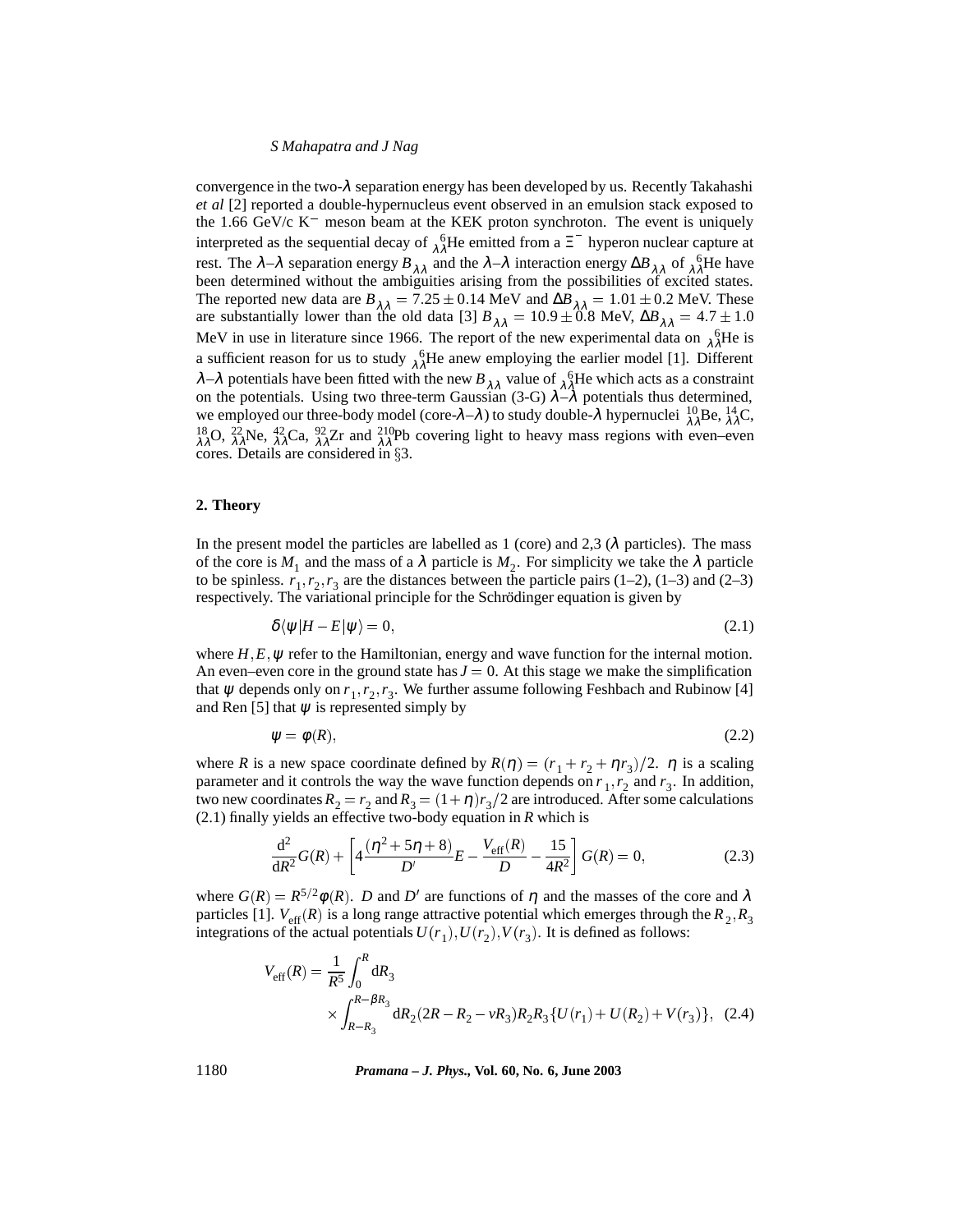## *S Mahapatra and J Nag*

convergence in the two- $\lambda$  separation energy has been developed by us. Recently Takahashi *et al* [2] reported a double-hypernucleus event observed in an emulsion stack exposed to the 1.66 GeV/c  $K^-$  meson beam at the KEK proton synchroton. The event is uniquely interpreted as the sequential decay of  $\lambda^6$ He emitted from a  $\Xi^-$  hyperon nuclear capture at rest. The  $\lambda-\lambda$  separation energy  $B_{\lambda\lambda}$  and the  $\lambda-\lambda$  interaction energy  $\Delta B_{\lambda\lambda}$  of  $\lambda^6$ He have been determined without the ambiguities arising from the possibilities of excited states. The reported new data are  $B_{\lambda\lambda} = 7.25 \pm 0.14$  MeV and  $\Delta B_{\lambda\lambda} = 1.01 \pm 0.2$  MeV. These are substantially lower than the old data [3]  $B_{\lambda\lambda} = 10.9 \pm 0.8$  MeV,  $\Delta B_{\lambda\lambda} = 4.7 \pm 1.0$ MeV in use in literature since 1966. The report of the new experimental data on  $\lambda \lambda^6$ He is a sufficient reason for us to study  $\lambda^6 \lambda^2$ He anew employing the earlier model [1]. Different λ-λ potentials have been fitted with the new  $B_{\lambda\lambda}$  value of  $\lambda^6$ He which acts as a constraint on the potentials. Using two three-term Gaussian (3-G)  $\lambda - \lambda$  potentials thus determined, we employed our three-body model (core- $\lambda - \lambda$ ) to study double- $\lambda$  hypernuclei  ${}^{10}_{\lambda\lambda}$ Be,  ${}^{14}_{\lambda\lambda}$ C,  $\frac{18}{\lambda\lambda}$ O,  $\frac{22}{\lambda\lambda}$ Ne,  $\frac{42}{\lambda\lambda}$ Ca,  $\frac{92}{\lambda\lambda}$ Zr and  $\frac{210}{\lambda\lambda}$ Pb covering light to heavy mass regions with even–even  $\overline{\text{cores}}$ . Details are considered in  $\S 3$ .

# **2. Theory**

In the present model the particles are labelled as 1 (core) and 2,3 ( $\lambda$  particles). The mass of the core is  $M_1$  and the mass of a  $\lambda$  particle is  $M_2$ . For simplicity we take the  $\lambda$  particle to be spinless.  $r_1, r_2, r_3$  are the distances between the particle pairs (1–2), (1–3) and (2–3) respectively. The variational principle for the Schrödinger equation is given by

$$
\delta \langle \psi | H - E | \psi \rangle = 0,\tag{2.1}
$$

where  $H, E, \psi$  refer to the Hamiltonian, energy and wave function for the internal motion. An even–even core in the ground state has  $J = 0$ . At this stage we make the simplification that  $\psi$  depends only on  $r_1, r_2, r_3$ . We further assume following Feshbach and Rubinow [4] and Ren [5] that  $\psi$  is represented simply by

$$
\psi = \phi(R),\tag{2.2}
$$

where *R* is a new space coordinate defined by  $R(\eta) = (r_1 + r_2 + \eta r_3)/2$ .  $\eta$  is a scaling parameter and it controls the way the wave function depends on  $r_1, r_2$  and  $r_3$ . In addition, two new coordinates  $R_2 = r_2$  and  $R_3 = (1 + \eta) r_3/2$  are introduced. After some calculations (2.1) finally yields an effective two-body equation in *R* which is

$$
\frac{d^2}{dR^2}G(R) + \left[4\frac{(\eta^2 + 5\eta + 8)}{D'}E - \frac{V_{\text{eff}}(R)}{D} - \frac{15}{4R^2}\right]G(R) = 0,\tag{2.3}
$$

where  $G(R) = R^{5/2}\phi(R)$ . *D* and *D'* are functions of  $\eta$  and the masses of the core and  $\lambda$ particles [1].  $V_{\text{eff}}(R)$  is a long range attractive potential which emerges through the  $R_2, R_3$ integrations of the actual potentials  $U(r_1)$ ,  $U(r_2)$ ,  $V(r_3)$ . It is defined as follows:

$$
V_{\text{eff}}(R) = \frac{1}{R^5} \int_0^R dR_3
$$
  
 
$$
\times \int_{R-R_3}^{R-\beta R_3} dR_2 (2R - R_2 - \nu R_3) R_2 R_3 \{ U(r_1) + U(R_2) + V(r_3) \}, \quad (2.4)
$$

1180 *Pramana – J. Phys.,* **Vol. 60, No. 6, June 2003**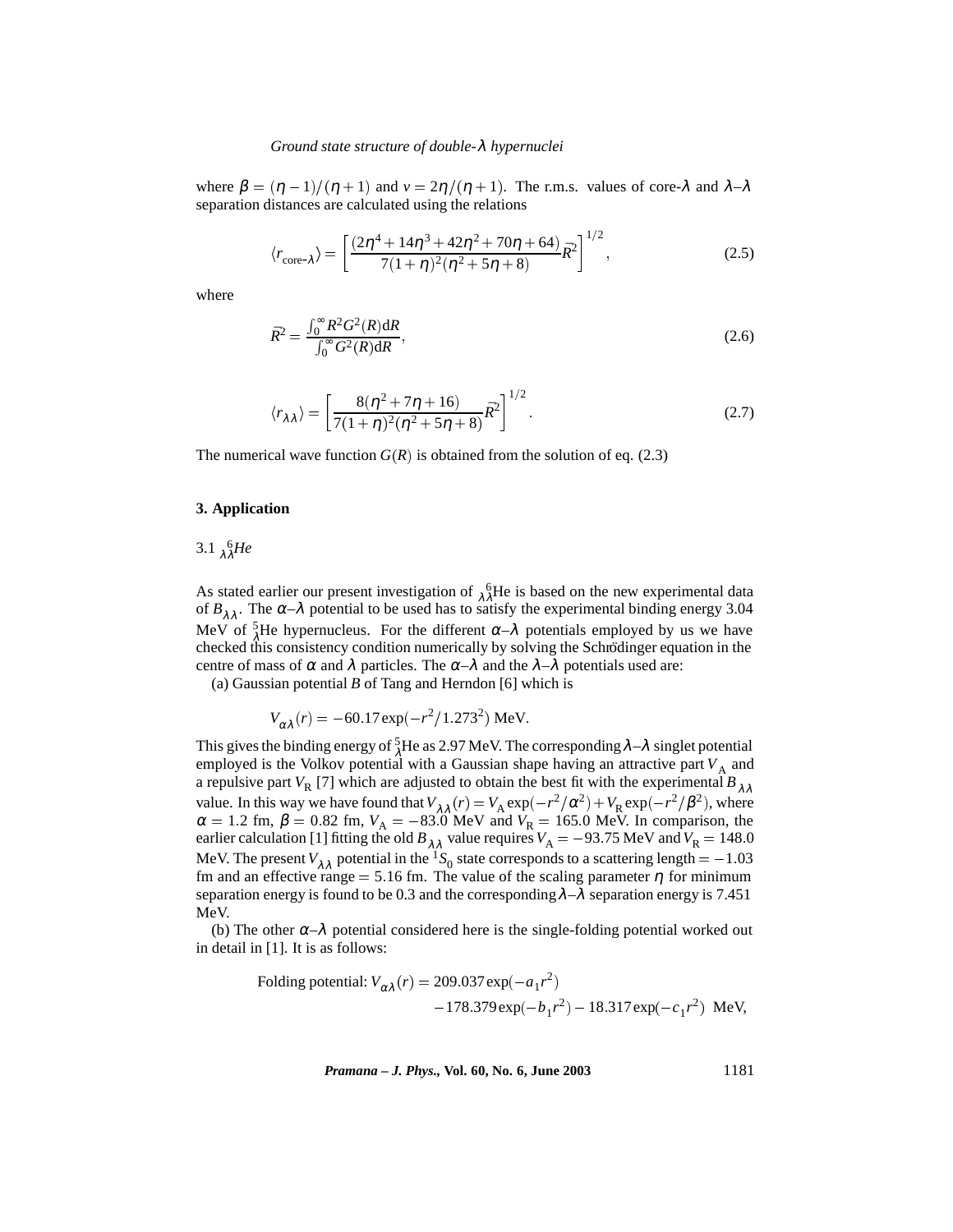where  $\beta = (\eta - 1)/(\eta + 1)$  and  $v = 2\eta/(\eta + 1)$ . The r.m.s. values of core- $\lambda$  and  $\lambda - \lambda$ separation distances are calculated using the relations

$$
\langle r_{\text{core-}\lambda} \rangle = \left[ \frac{(2\eta^4 + 14\eta^3 + 42\eta^2 + 70\eta + 64)}{7(1+\eta)^2(\eta^2 + 5\eta + 8)} \bar{R}^2 \right]^{1/2},\tag{2.5}
$$

where

$$
\bar{R}^2 = \frac{\int_0^\infty R^2 G^2(R) dR}{\int_0^\infty G^2(R) dR},\tag{2.6}
$$

$$
\langle r_{\lambda\lambda} \rangle = \left[ \frac{8(\eta^2 + 7\eta + 16)}{7(1+\eta)^2(\eta^2 + 5\eta + 8)} \bar{R}^2 \right]^{1/2}.
$$
 (2.7)

The numerical wave function  $G(R)$  is obtained from the solution of eq. (2.3)

## **3. Application**

3.1  $_{\lambda}^{6}He$ 

As stated earlier our present investigation of  $\lambda^6$ He is based on the new experimental data of  $B_{1,1}$ . The  $\alpha-\lambda$  potential to be used has to satisfy the experimental binding energy 3.04 MeV of  $\frac{5}{\lambda}$ He hypernucleus. For the different  $\alpha-\lambda$  potentials employed by us we have checked this consistency condition numerically by solving the Schrödinger equation in the centre of mass of  $\alpha$  and  $\lambda$  particles. The  $\alpha-\lambda$  and the  $\lambda-\lambda$  potentials used are:

(a) Gaussian potential *B* of Tang and Herndon [6] which is

$$
V_{\alpha\lambda}(r) = -60.17 \exp(-r^2/1.273^2) \text{ MeV}.
$$

This gives the binding energy of  ${}_{\lambda}^{5}$ He as 2.97 MeV. The corresponding  $\lambda-\lambda$  singlet potential employed is the Volkov potential with a Gaussian shape having an attractive part  $V_A$  and a repulsive part  $V_R$  [7] which are adjusted to obtain the best fit with the experimental  $B_{\lambda\lambda}$ value. In this way we have found that  $V_{\lambda\lambda}(r) = V_A \exp(-r^2/\alpha^2) + V_R \exp(-r^2/\beta^2)$ , where  $\alpha = 1.2$  fm,  $\beta = 0.82$  fm,  $V_A = -83.0$  MeV and  $V_R = 165.0$  MeV. In comparison, the earlier calculation [1] fitting the old  $B_{\lambda\lambda}$  value requires  $V_\mathrm{A} = -93.75$  MeV and  $V_\mathrm{R} = 148.0$ MeV. The present  $V_{\lambda\lambda}$  potential in the <sup>1</sup>S<sub>0</sub> state corresponds to a scattering length = -1.03 fm and an effective range = 5.16 fm. The value of the scaling parameter  $\eta$  for minimum separation energy is found to be 0.3 and the corresponding  $\lambda-\lambda$  separation energy is 7.451 MeV.

(b) The other  $\alpha-\lambda$  potential considered here is the single-folding potential worked out in detail in [1]. It is as follows:

Following potential: 
$$
V_{\alpha\lambda}(r) = 209.037 \exp(-a_1 r^2)
$$
  
-178.379 exp $(-b_1 r^2)$  - 18.317 exp $(-c_1 r^2)$  MeV,

*Pramana – J. Phys.,* **Vol. 60, No. 6, June 2003** 1181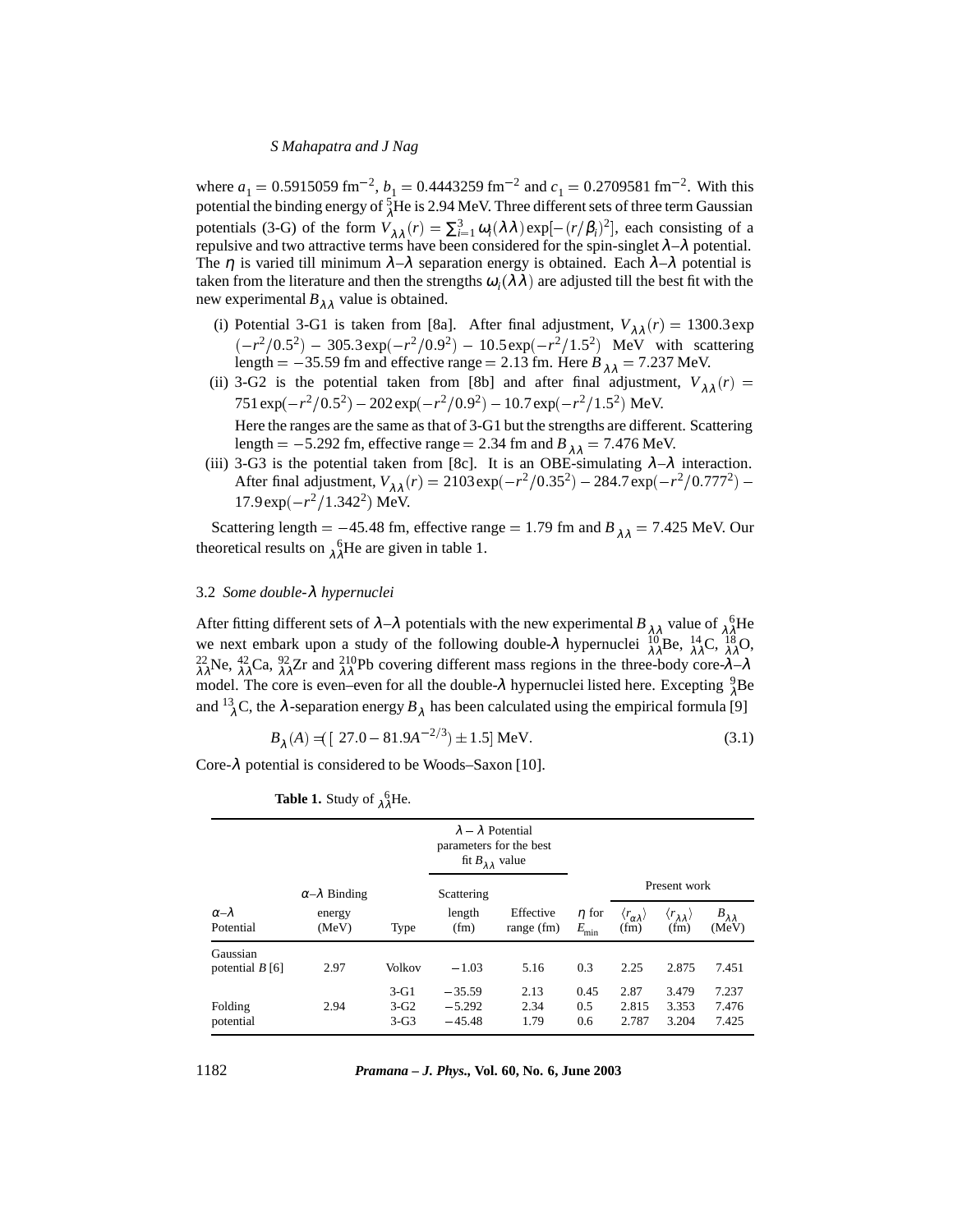## *S Mahapatra and J Nag*

where  $a_1 = 0.5915059$  fm<sup>-2</sup>,  $b_1 = 0.4443259$  fm<sup>-2</sup> and  $c_1 = 0.2709581$  fm<sup>-2</sup>. With this potential the binding energy of  $^{5}_{\lambda}$ He is 2.94 MeV. Three different sets of three term Gaussian potentials (3-G) of the form  $V_{\lambda\lambda}(r) = \sum_{i=1}^{3} \omega_i(\lambda\lambda) \exp[-(r/\beta_i)^2]$ , each consisting of a repulsive and two attractive terms have been considered for the spin-singlet  $\lambda - \lambda$  potential. The  $\eta$  is varied till minimum  $\lambda-\lambda$  separation energy is obtained. Each  $\lambda-\lambda$  potential is taken from the literature and then the strengths  $\omega_i(\lambda \lambda)$  are adjusted till the best fit with the new experimental  $B_{\lambda\lambda}$  value is obtained.

- (i) Potential 3-G1 is taken from [8a]. After final adjustment,  $V_{\lambda\lambda}(r) = 1300.3$  exp  $(-r^2/0.5^2)$  – 305.3exp( $-r^2/0.9^2$ ) – 10.5exp( $-r^2/1.5^2$ ) MeV with scattering length =  $-35.59$  fm and effective range = 2.13 fm. Here  $B_{\lambda \lambda} = 7.237$  MeV.
- (ii) 3-G2 is the potential taken from [8b] and after final adjustment,  $V_{\lambda\lambda}(r)$  =  $751 \exp(-r^2/0.5^2) - 202 \exp(-r^2/0.9^2) - 10.7 \exp(-r^2/1.5^2)$  MeV. Here the ranges are the same as that of 3-G1 but the strengths are different. Scattering length =  $-5.292$  fm, effective range = 2.34 fm and  $B_{\lambda \lambda} = 7.476$  MeV.
- (iii) 3-G3 is the potential taken from [8c]. It is an OBE-simulating  $\lambda-\lambda$  interaction. After final adjustment,  $V_{\lambda \lambda}(r) = 2103 \exp(-r^2/0.35^2) - 284.7 \exp(-r^2/0.777^2)$ 17.9exp $(-r^2/1.342^2)$  MeV.

Scattering length =  $-45.48$  fm, effective range = 1.79 fm and  $B_{\lambda \lambda} = 7.425$  MeV. Our theoretical results on  $\lambda^6$ He are given in table 1.

# 3.2 *Some double-*λ *hypernuclei*

After fitting different sets of  $\lambda-\lambda$  potentials with the new experimental  $B_{\lambda\lambda}$  value of  $\lambda^6$ He we next embark upon a study of the following double-λ hypernuclei  ${}^{10}_{\lambda\lambda}$ Be,  ${}^{14}_{\lambda\lambda}$ C,  ${}^{18}_{\lambda\lambda}$ O,<br>  ${}^{22}_{\lambda\lambda}$ Ne,  ${}^{42}_{\lambda\lambda}$ Ca,  ${}^{92}_{\lambda\lambda}$ Zr and  ${}^{210}_{\lambda\lambda}$ Pb covering different mass regions in the t model. The core is even–even for all the double- $\lambda$  hypernuclei listed here. Excepting  $\frac{9}{\lambda}$ Be and  $^{13}_{\lambda}$ C, the  $\lambda$ -separation energy  $B_{\lambda}$  has been calculated using the empirical formula [9]

$$
B_{\lambda}(A) = \left[ (27.0 - 81.9A^{-2/3}) \pm 1.5 \right] \text{MeV.}
$$
 (3.1)

Core- $\lambda$  potential is considered to be Woods–Saxon [10].

|                               | $\sim$                   |                            |                                                                                            |                           |                                |                                                |                                                              |                               |
|-------------------------------|--------------------------|----------------------------|--------------------------------------------------------------------------------------------|---------------------------|--------------------------------|------------------------------------------------|--------------------------------------------------------------|-------------------------------|
|                               |                          |                            | $\lambda - \lambda$ Potential<br>parameters for the best<br>fit $B_{\lambda\lambda}$ value |                           |                                |                                                |                                                              |                               |
|                               | $\alpha-\lambda$ Binding |                            | Scattering                                                                                 |                           |                                |                                                | Present work                                                 |                               |
| $\alpha-\lambda$<br>Potential | energy<br>(MeV)          | Type                       | length<br>(fm)                                                                             | Effective<br>range $(fm)$ | $\eta$ for<br>$E_{\text{min}}$ | $\langle r_{\alpha\lambda}^{} \rangle$<br>(fm) | $\langle r_{\lambda\lambda}^{} \rangle$<br>(f <sub>m</sub> ) | $B_{\lambda\lambda}$<br>(MeV) |
| Gaussian<br>potential $B[6]$  | 2.97                     | <b>Volkov</b>              | $-1.03$                                                                                    | 5.16                      | 0.3                            | 2.25                                           | 2.875                                                        | 7.451                         |
| Folding<br>potential          | 2.94                     | $3-G1$<br>$3-G2$<br>$3-G3$ | $-35.59$<br>$-5.292$<br>$-45.48$                                                           | 2.13<br>2.34<br>1.79      | 0.45<br>0.5<br>0.6             | 2.87<br>2.815<br>2.787                         | 3.479<br>3.353<br>3.204                                      | 7.237<br>7.476<br>7.425       |

|  |  | <b>Table 1.</b> Study of $\chi^6_\lambda$ He. |  |  |
|--|--|-----------------------------------------------|--|--|
|--|--|-----------------------------------------------|--|--|

1182 *Pramana – J. Phys.,* **Vol. 60, No. 6, June 2003**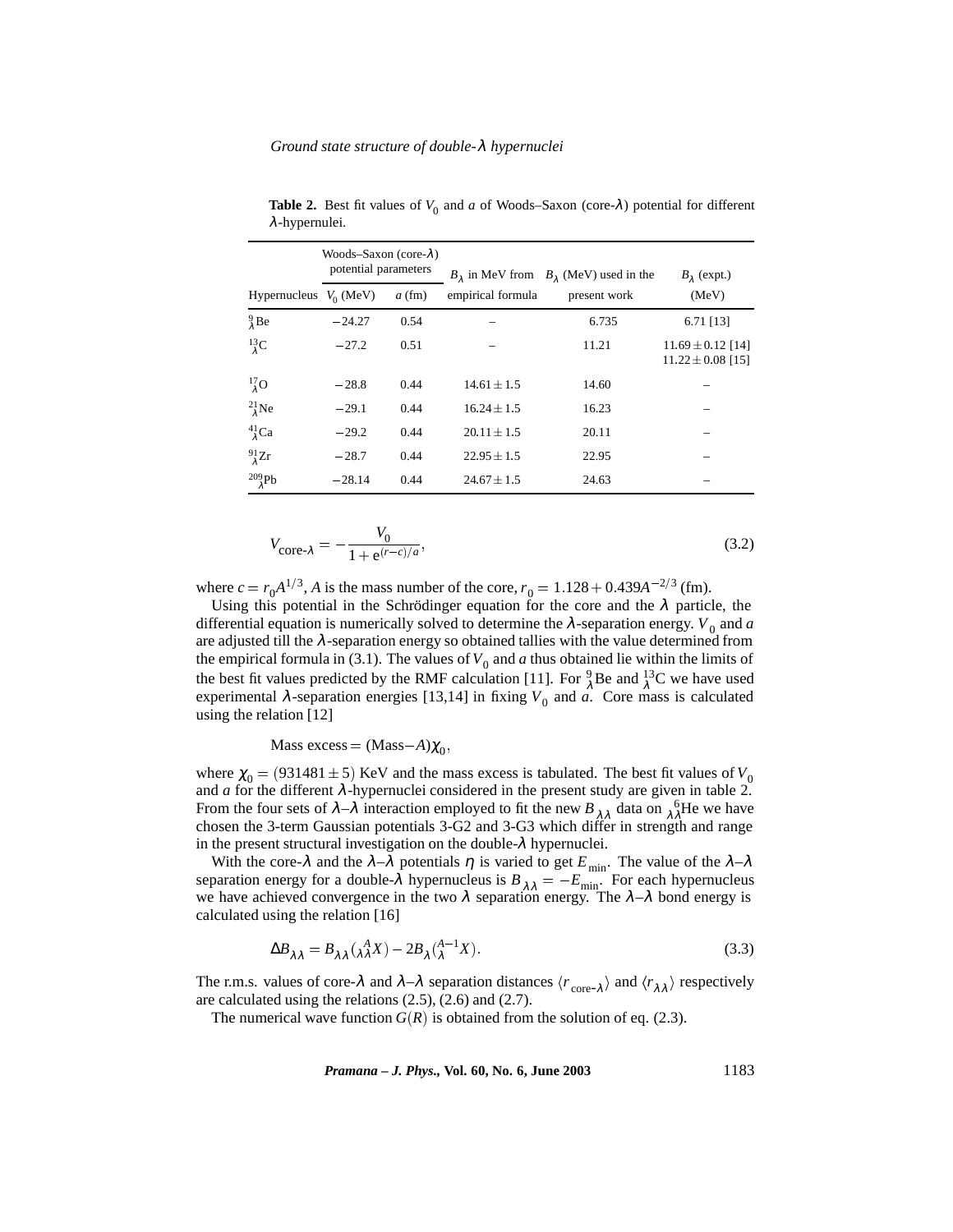#### *Ground state structure of double-*λ *hypernuclei*

|                                 | Woods-Saxon (core- $\lambda$ )<br>potential parameters |          |                   | $B_1$ in MeV from $B_1$ (MeV) used in the | $B_2$ (expt.)                                  |  |
|---------------------------------|--------------------------------------------------------|----------|-------------------|-------------------------------------------|------------------------------------------------|--|
| Hypernucleus $V_0$ (MeV)        |                                                        | $a$ (fm) | empirical formula | present work                              | (MeV)                                          |  |
| $\frac{9}{4}$ Be                | $-24.27$                                               | 0.54     |                   | 6.735                                     | 6.71 [13]                                      |  |
| $^{13}_{\lambda}$ C             | $-27.2$                                                | 0.51     |                   | 11.21                                     | $11.69 \pm 0.12$ [14]<br>$11.22 \pm 0.08$ [15] |  |
| $^{17}_{\lambda}$ O             | $-28.8$                                                | 0.44     | $14.61 \pm 1.5$   | 14.60                                     |                                                |  |
| $^{21}_{\lambda}$ Ne            | $-29.1$                                                | 0.44     | $16.24 \pm 1.5$   | 16.23                                     |                                                |  |
| $^{41}_{\lambda}$ Ca            | $-29.2$                                                | 0.44     | $20.11 \pm 1.5$   | 20.11                                     |                                                |  |
| $^{91}_{\lambda}Zr$             | $-28.7$                                                | 0.44     | $22.95 \pm 1.5$   | 22.95                                     |                                                |  |
| $^{209}_{\phantom{1}\lambda}Pb$ | $-28.14$                                               | 0.44     | $24.67 \pm 1.5$   | 24.63                                     |                                                |  |

**Table 2.** Best fit values of  $V_0$  and  $a$  of Woods–Saxon (core- $\lambda$ ) potential for different λ-hypernulei.

$$
V_{\text{core-}\lambda} = -\frac{V_0}{1 + e^{(r - c)/a}},\tag{3.2}
$$

where  $c = r_0 A^{1/3}$ , *A* is the mass number of the core,  $r_0 = 1.128 + 0.439A^{-2/3}$  (fm).

Using this potential in the Schrödinger equation for the core and the  $\lambda$  particle, the differential equation is numerically solved to determine the  $\lambda$ -separation energy.  $V_0$  and *a* are adjusted till the  $\lambda$ -separation energy so obtained tallies with the value determined from the empirical formula in (3.1). The values of  $V_0$  and  $a$  thus obtained lie within the limits of the best fit values predicted by the RMF calculation [11]. For  ${}^{9}_{\lambda}$ Be and  ${}^{13}_{\lambda}$ C we have used experimental  $\lambda$ -separation energies [13,14] in fixing  $V_0$  and  $\hat{a}$ . Core mass is calculated using the relation [12]

# Mass excess =  $(Mass-A)\chi_0$ ,

where  $\chi_0 = (931481 \pm 5)$  KeV and the mass excess is tabulated. The best fit values of  $V_0$ and  $a$  for the different  $\lambda$ -hypernuclei considered in the present study are given in table 2. From the four sets of  $\lambda-\lambda$  interaction employed to fit the new  $B_{\lambda\lambda}$  data on  $\lambda^6$ He we have chosen the 3-term Gaussian potentials 3-G2 and 3-G3 which differ in strength and range in the present structural investigation on the double- $\lambda$  hypernuclei.

With the core- $\lambda$  and the  $\lambda-\lambda$  potentials  $\eta$  is varied to get  $E_{min}$ . The value of the  $\lambda-\lambda$ separation energy for a double- $\lambda$  hypernucleus is  $B_{\lambda \lambda} = -E_{\min}$ . For each hypernucleus we have achieved convergence in the two  $\lambda$  separation energy. The  $\lambda-\lambda$  bond energy is calculated using the relation [16]

$$
\Delta B_{\lambda \lambda} = B_{\lambda \lambda} \left( \begin{matrix} A \\ \lambda \lambda \end{matrix} X \right) - 2B_{\lambda} \left( \begin{matrix} A \\ \lambda \end{matrix}^{-1} X \right). \tag{3.3}
$$

The r.m.s. values of core- $\lambda$  and  $\lambda-\lambda$  separation distances  $\langle r_{\text{core-}\lambda} \rangle$  and  $\langle r_{\lambda\lambda} \rangle$  respectively are calculated using the relations (2.5), (2.6) and (2.7).

The numerical wave function  $G(R)$  is obtained from the solution of eq. (2.3).

*Pramana – J. Phys.,* **Vol. 60, No. 6, June 2003** 1183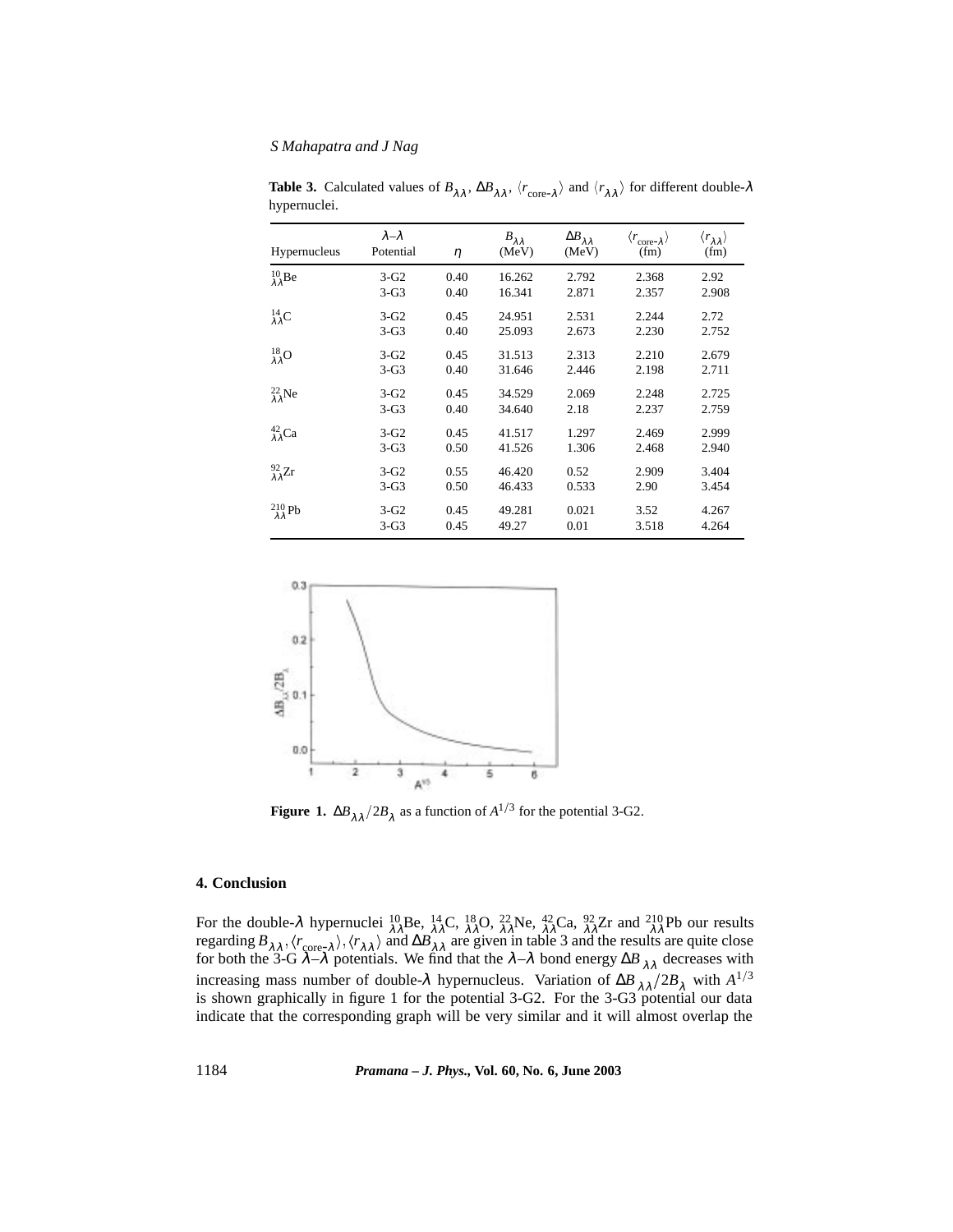# *S Mahapatra and J Nag*

| Hypernucleus                       | $\lambda-\lambda$<br>Potential | $\eta$ | $B_{\lambda\lambda}$<br>(MeV) | $\Delta B_{\lambda\lambda}$<br>(MeV) | $\langle r_{\text{core-}\lambda} \rangle$<br>(fm) | $\langle r_{\lambda\lambda}^{} \rangle$<br>(fm) |
|------------------------------------|--------------------------------|--------|-------------------------------|--------------------------------------|---------------------------------------------------|-------------------------------------------------|
| $^{10}_{\lambda\lambda} \text{Be}$ | $3-G2$                         | 0.40   | 16.262                        | 2.792                                | 2.368                                             | 2.92                                            |
|                                    | $3-G3$                         | 0.40   | 16.341                        | 2.871                                | 2.357                                             | 2.908                                           |
| $^{14}_{\lambda\lambda}$ C         | $3-G2$                         | 0.45   | 24.951                        | 2.531                                | 2.244                                             | 2.72                                            |
|                                    | $3-G3$                         | 0.40   | 25.093                        | 2.673                                | 2.230                                             | 2.752                                           |
| $^{18}_{\lambda\lambda}O$          | $3-G2$                         | 0.45   | 31.513                        | 2.313                                | 2.210                                             | 2.679                                           |
|                                    | $3-G3$                         | 0.40   | 31.646                        | 2.446                                | 2.198                                             | 2.711                                           |
| $^{22}_{\lambda\lambda}$ Ne        | $3-G2$                         | 0.45   | 34.529                        | 2.069                                | 2.248                                             | 2.725                                           |
|                                    | $3-G3$                         | 0.40   | 34.640                        | 2.18                                 | 2.237                                             | 2.759                                           |
| $^{42}_{\lambda\lambda}$ Ca        | $3-G2$                         | 0.45   | 41.517                        | 1.297                                | 2.469                                             | 2.999                                           |
|                                    | $3-G3$                         | 0.50   | 41.526                        | 1.306                                | 2.468                                             | 2.940                                           |
| $^{92}_{\lambda\lambda}Zr$         | $3-G2$                         | 0.55   | 46.420                        | 0.52                                 | 2.909                                             | 3.404                                           |
|                                    | $3-G3$                         | 0.50   | 46.433                        | 0.533                                | 2.90                                              | 3.454                                           |
| $^{210}_{\lambda\lambda}$ Pb       | $3-G2$                         | 0.45   | 49.281                        | 0.021                                | 3.52                                              | 4.267                                           |
|                                    | $3-G3$                         | 0.45   | 49.27                         | 0.01                                 | 3.518                                             | 4.264                                           |

**Table 3.** Calculated values of  $B_{\lambda\lambda}$ ,  $\Delta B_{\lambda\lambda}$ ,  $\langle r_{\text{core-}\lambda} \rangle$  and  $\langle r_{\lambda\lambda} \rangle$  for different double- $\lambda$ hypernuclei.



**Figure 1.**  $\Delta B_{\lambda \lambda}/2B_{\lambda}$  as a function of  $A^{1/3}$  for the potential 3-G2.

# **4. Conclusion**

For the double- $\lambda$  hypernuclei  ${}_{\lambda\lambda}^{10}$ Be,  ${}_{\lambda\lambda}^{14}$ C,  ${}_{\lambda\lambda}^{18}$ O,  ${}_{\lambda\lambda}^{22}$ Ne,  ${}_{\lambda\lambda}^{42}$ Ca,  ${}_{\lambda\lambda}^{92}$ Zr and  ${}_{\lambda\lambda}^{210}$ Pb our results regarding  $B_{\lambda\lambda}$ ,  $\langle r_{\text{core},\lambda} \rangle$ ,  $\langle r_{\lambda\lambda} \rangle$  and  $\Delta B_{\lambda\lambda}$  are given in table 3 and the results are quite close for both the 3-G  $\lambda-\lambda$  potentials. We find that the  $\lambda-\lambda$  bond energy  $\Delta B$ <sub>λλ</sub> decreases with increasing mass number of double- $\lambda$  hypernucleus. Variation of  $\Delta B_{\lambda \lambda}/2B_{\lambda}$  with  $A^{1/3}$ is shown graphically in figure 1 for the potential 3-G2. For the 3-G3 potential our data indicate that the corresponding graph will be very similar and it will almost overlap the

1184 *Pramana – J. Phys.,* **Vol. 60, No. 6, June 2003**